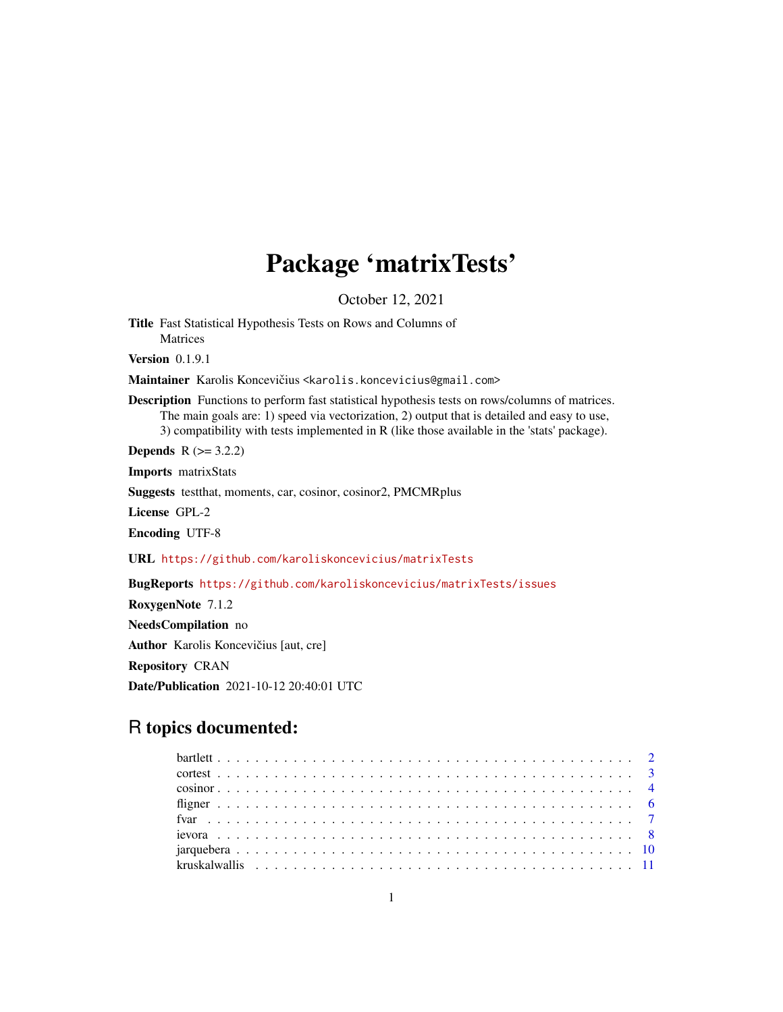# Package 'matrixTests'

October 12, 2021

<span id="page-0-0"></span>Title Fast Statistical Hypothesis Tests on Rows and Columns of Matrices

Version 0.1.9.1

Maintainer Karolis Koncevičius <karolis.koncevicius@gmail.com>

Description Functions to perform fast statistical hypothesis tests on rows/columns of matrices. The main goals are: 1) speed via vectorization, 2) output that is detailed and easy to use, 3) compatibility with tests implemented in R (like those available in the 'stats' package).

**Depends**  $R (= 3.2.2)$ 

Imports matrixStats

Suggests testthat, moments, car, cosinor, cosinor2, PMCMRplus

License GPL-2

Encoding UTF-8

URL <https://github.com/karoliskoncevicius/matrixTests>

BugReports <https://github.com/karoliskoncevicius/matrixTests/issues> RoxygenNote 7.1.2 NeedsCompilation no Author Karolis Koncevičius [aut, cre] Repository CRAN Date/Publication 2021-10-12 20:40:01 UTC

# R topics documented: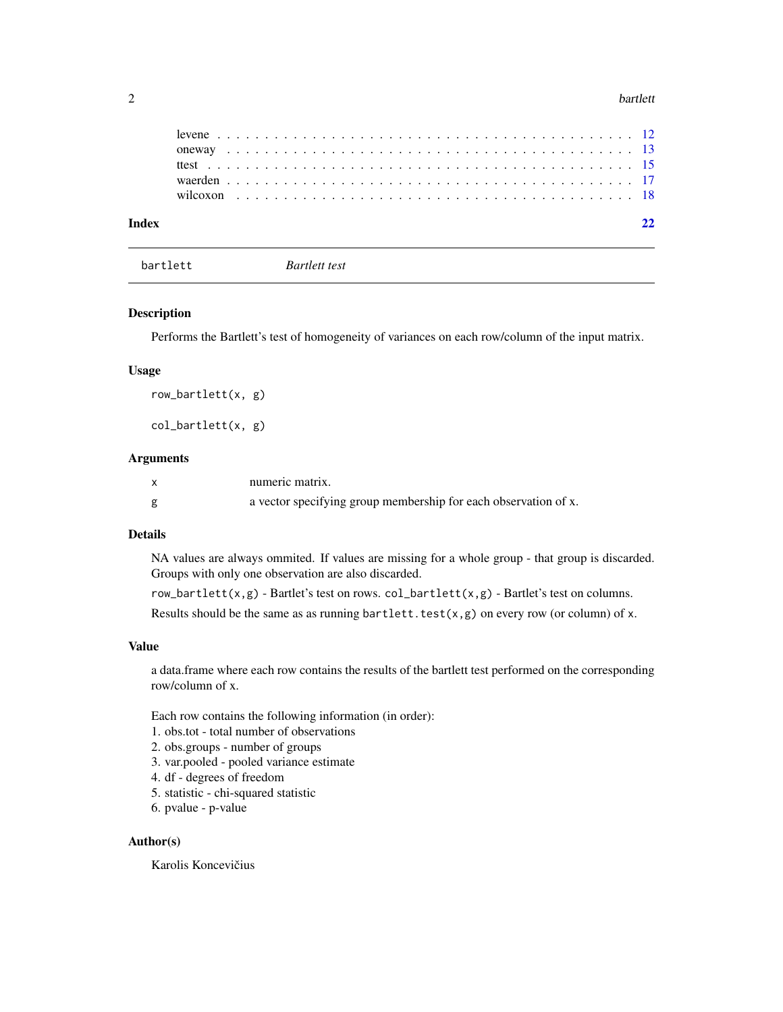#### <span id="page-1-0"></span>2 bartlett by the control of the control of the control of the control of the control of the control of the control of the control of the control of the control of the control of the control of the control of the control o

bartlett *Bartlett test*

#### Description

Performs the Bartlett's test of homogeneity of variances on each row/column of the input matrix.

### Usage

```
row_bartlett(x, g)
```
col\_bartlett(x, g)

### Arguments

| numeric matrix.                                                 |
|-----------------------------------------------------------------|
| a vector specifying group membership for each observation of x. |

# Details

NA values are always ommited. If values are missing for a whole group - that group is discarded. Groups with only one observation are also discarded.

row\_bartlett(x,g) - Bartlet's test on rows.  $col\_bartlet(x, g)$  - Bartlet's test on columns. Results should be the same as as running bartlett.test $(x, g)$  on every row (or column) of x.

#### Value

a data.frame where each row contains the results of the bartlett test performed on the corresponding row/column of x.

Each row contains the following information (in order):

- 1. obs.tot total number of observations
- 2. obs.groups number of groups
- 3. var.pooled pooled variance estimate
- 4. df degrees of freedom
- 5. statistic chi-squared statistic
- 6. pvalue p-value

# Author(s)

Karolis Koncevičius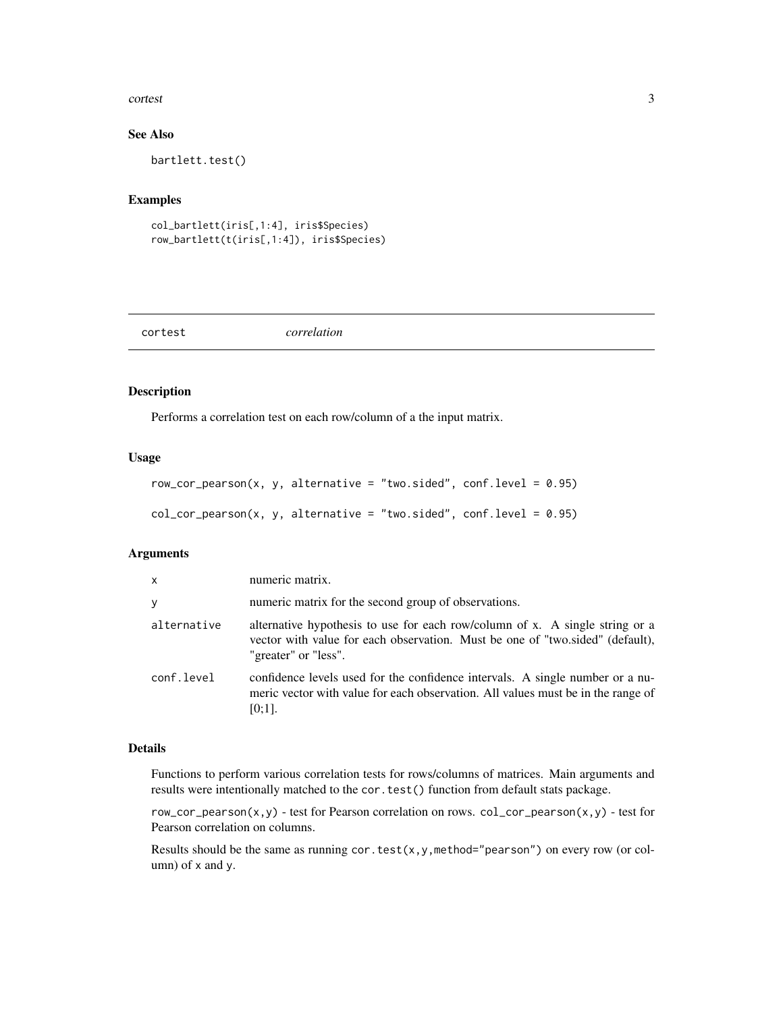#### <span id="page-2-0"></span>cortest 3

# See Also

bartlett.test()

# Examples

```
col_bartlett(iris[,1:4], iris$Species)
row_bartlett(t(iris[,1:4]), iris$Species)
```
#### cortest *correlation*

#### Description

Performs a correlation test on each row/column of a the input matrix.

#### Usage

```
row_cor_pearson(x, y, alternative = "two.sided", conf.level = 0.95)
col_cor_pearson(x, y, alternative = "two.sided", conf.level = 0.95)
```
#### Arguments

| $\mathsf{x}$ | numeric matrix.                                                                                                                                                                       |
|--------------|---------------------------------------------------------------------------------------------------------------------------------------------------------------------------------------|
| y            | numeric matrix for the second group of observations.                                                                                                                                  |
| alternative  | alternative hypothesis to use for each row/column of x. A single string or a<br>vector with value for each observation. Must be one of "two.sided" (default),<br>"greater" or "less". |
| conf.level   | confidence levels used for the confidence intervals. A single number or a nu-<br>meric vector with value for each observation. All values must be in the range of<br>$[0;1]$ .        |

#### Details

Functions to perform various correlation tests for rows/columns of matrices. Main arguments and results were intentionally matched to the cor.test() function from default stats package.

row\_cor\_pearson(x,y) - test for Pearson correlation on rows.  $col\_cor\_pearson(x,y)$  - test for Pearson correlation on columns.

Results should be the same as running cor.test(x,y,method="pearson") on every row (or column) of x and y.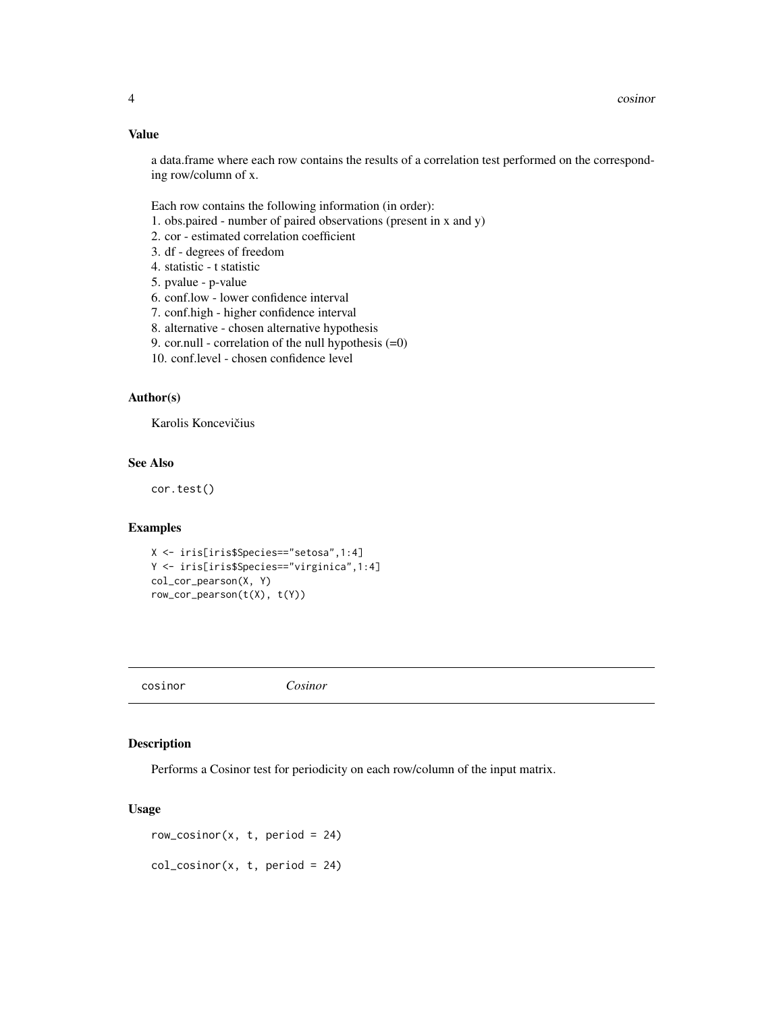# Value

a data.frame where each row contains the results of a correlation test performed on the corresponding row/column of x.

Each row contains the following information (in order):

- 1. obs.paired number of paired observations (present in x and y)
- 2. cor estimated correlation coefficient
- 3. df degrees of freedom
- 4. statistic t statistic
- 5. pvalue p-value
- 6. conf.low lower confidence interval
- 7. conf.high higher confidence interval
- 8. alternative chosen alternative hypothesis
- 9. cor.null correlation of the null hypothesis  $(=0)$

10. conf.level - chosen confidence level

#### Author(s)

Karolis Koncevičius

# See Also

cor.test()

# Examples

```
X <- iris[iris$Species=="setosa",1:4]
Y <- iris[iris$Species=="virginica",1:4]
col_cor_pearson(X, Y)
row_cor_pearson(t(X), t(Y))
```
cosinor *Cosinor*

### Description

Performs a Cosinor test for periodicity on each row/column of the input matrix.

# Usage

```
row_cosinor(x, t, period = 24)
col\_cosinor(x, t, period = 24)
```
<span id="page-3-0"></span>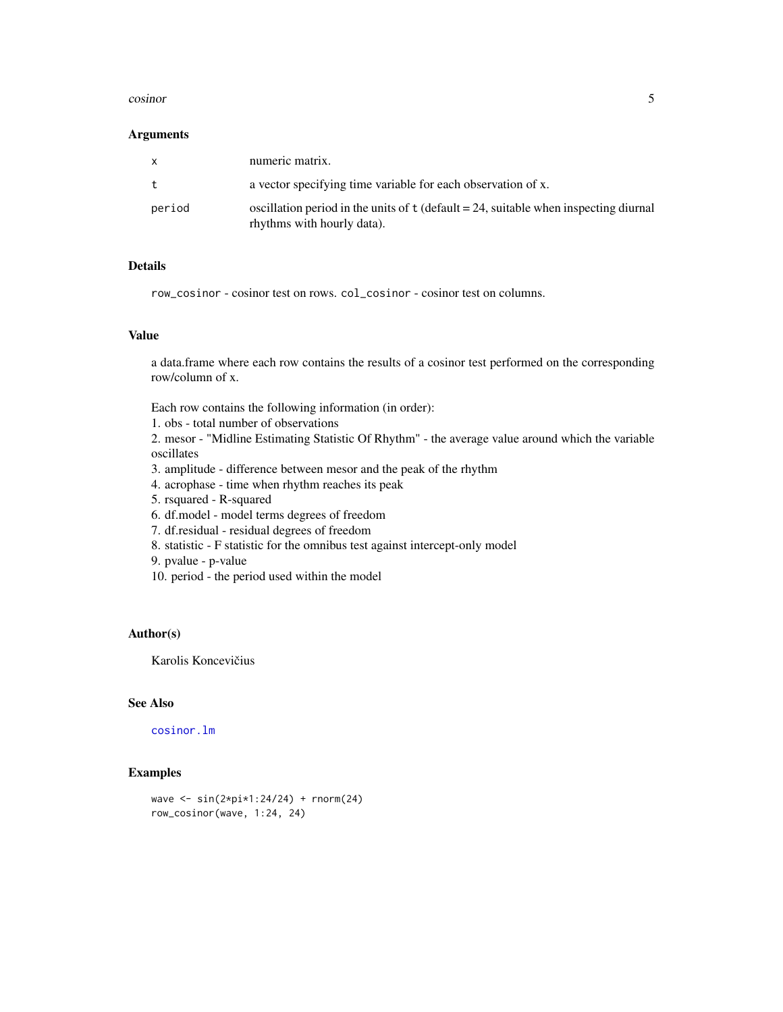#### <span id="page-4-0"></span>cosinor 5

#### Arguments

| $\mathsf{x}$ | numeric matrix.                                                                                                      |
|--------------|----------------------------------------------------------------------------------------------------------------------|
| t            | a vector specifying time variable for each observation of x.                                                         |
| period       | oscillation period in the units of $t$ (default = 24, suitable when inspecting diurnal<br>rhythms with hourly data). |

# Details

row\_cosinor - cosinor test on rows. col\_cosinor - cosinor test on columns.

#### Value

a data.frame where each row contains the results of a cosinor test performed on the corresponding row/column of x.

Each row contains the following information (in order):

1. obs - total number of observations

2. mesor - "Midline Estimating Statistic Of Rhythm" - the average value around which the variable oscillates

- 3. amplitude difference between mesor and the peak of the rhythm
- 4. acrophase time when rhythm reaches its peak
- 5. rsquared R-squared
- 6. df.model model terms degrees of freedom
- 7. df.residual residual degrees of freedom
- 8. statistic F statistic for the omnibus test against intercept-only model
- 9. pvalue p-value
- 10. period the period used within the model

## Author(s)

Karolis Koncevičius

# See Also

[cosinor.lm](#page-0-0)

# Examples

```
wave <- sin(2*pi*1:24/24) + rnorm(24)
row_cosinor(wave, 1:24, 24)
```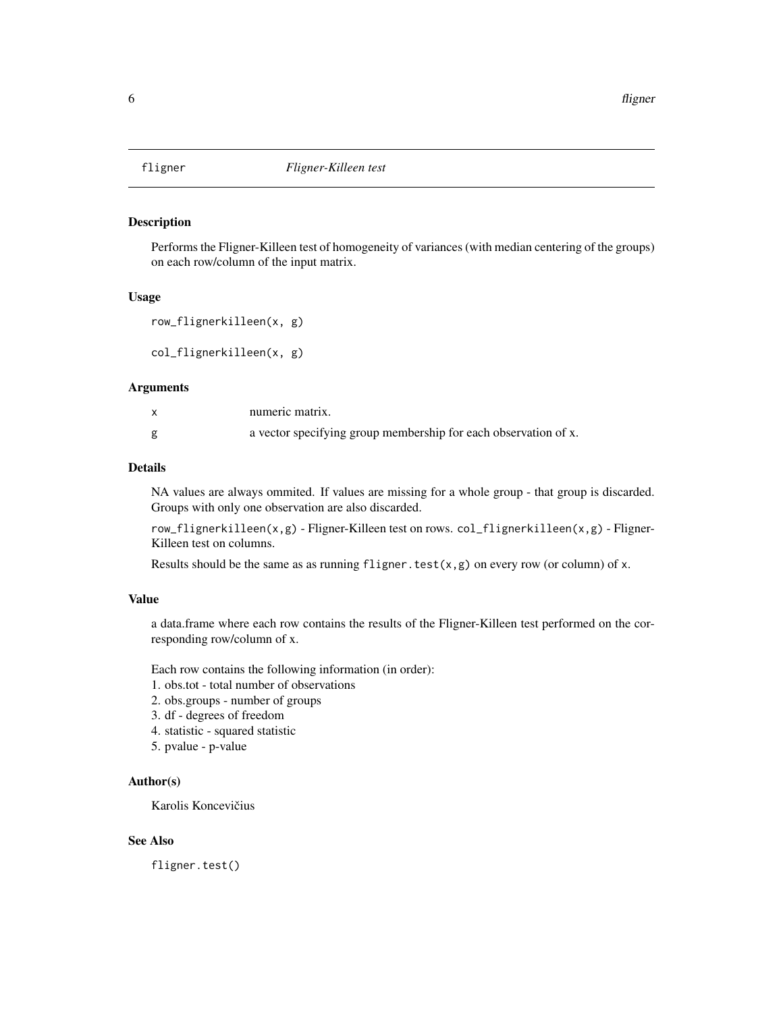<span id="page-5-0"></span>

#### Description

Performs the Fligner-Killeen test of homogeneity of variances (with median centering of the groups) on each row/column of the input matrix.

#### Usage

```
row_flignerkilleen(x, g)
```
col\_flignerkilleen(x, g)

#### Arguments

|   | numeric matrix.                                                 |
|---|-----------------------------------------------------------------|
| g | a vector specifying group membership for each observation of x. |

# Details

NA values are always ommited. If values are missing for a whole group - that group is discarded. Groups with only one observation are also discarded.

row\_flignerkilleen(x,g) - Fligner-Killeen test on rows. col\_flignerkilleen(x,g) - Fligner-Killeen test on columns.

Results should be the same as as running fligner.test( $x, g$ ) on every row (or column) of x.

#### Value

a data.frame where each row contains the results of the Fligner-Killeen test performed on the corresponding row/column of x.

Each row contains the following information (in order):

- 1. obs.tot total number of observations
- 2. obs.groups number of groups
- 3. df degrees of freedom
- 4. statistic squared statistic
- 5. pvalue p-value

# Author(s)

Karolis Koncevičius

# See Also

fligner.test()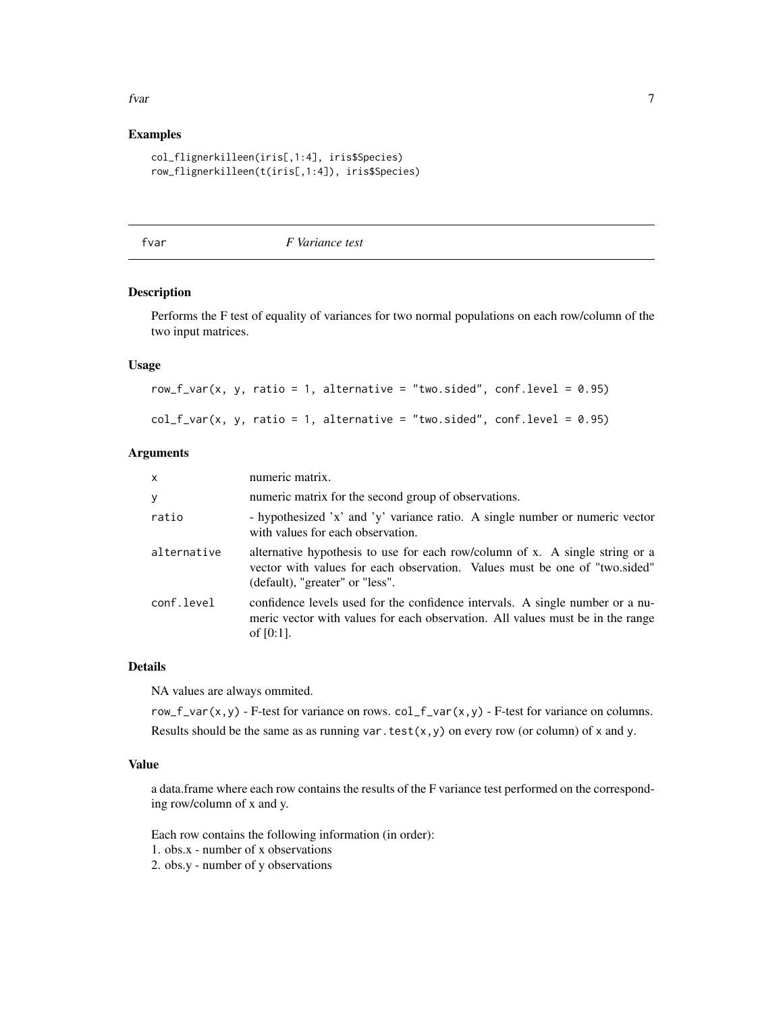#### <span id="page-6-0"></span>fvar 1988 - 1988 - 1988 - 1988 - 1988 - 1988 - 1988 - 1988 - 1988 - 1988 - 1988 - 1988 - 1988 - 1988 - 1988 -

# Examples

```
col_flignerkilleen(iris[,1:4], iris$Species)
row_flignerkilleen(t(iris[,1:4]), iris$Species)
```
fvar *F Variance test*

#### Description

Performs the F test of equality of variances for two normal populations on each row/column of the two input matrices.

# Usage

row\_f\_var(x, y, ratio = 1, alternative = "two.sided", conf.level =  $0.95$ )  $col_f_var(x, y, ratio = 1, alternative = "two-sided", conf. level = 0.95)$ 

#### Arguments

| X.          | numeric matrix.                                                                                                                                                                               |
|-------------|-----------------------------------------------------------------------------------------------------------------------------------------------------------------------------------------------|
| у           | numeric matrix for the second group of observations.                                                                                                                                          |
| ratio       | - hypothesized 'x' and 'y' variance ratio. A single number or numeric vector<br>with values for each observation.                                                                             |
| alternative | alternative hypothesis to use for each row/column of x. A single string or a<br>vector with values for each observation. Values must be one of "two.sided"<br>(default), "greater" or "less". |
| conf.level  | confidence levels used for the confidence intervals. A single number or a nu-<br>meric vector with values for each observation. All values must be in the range<br>of $[0:1]$ .               |

# Details

NA values are always ommited.

row\_f\_var(x,y) - F-test for variance on rows.  $col_f_{var}(x,y)$  - F-test for variance on columns. Results should be the same as as running var.test $(x, y)$  on every row (or column) of x and y.

# Value

a data.frame where each row contains the results of the F variance test performed on the corresponding row/column of x and y.

Each row contains the following information (in order):

1. obs.x - number of x observations

2. obs.y - number of y observations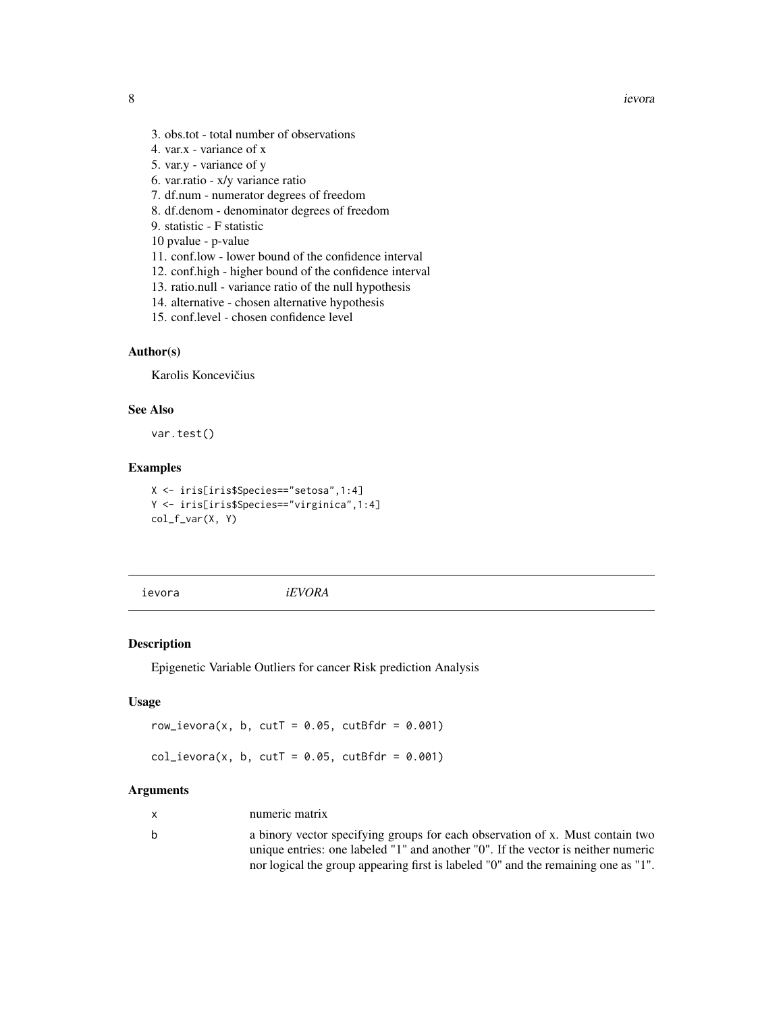- <span id="page-7-0"></span>3. obs.tot - total number of observations
- 4. var.x variance of x
- 5. var.y variance of y
- 6. var.ratio x/y variance ratio
- 7. df.num numerator degrees of freedom
- 8. df.denom denominator degrees of freedom
- 9. statistic F statistic
- 10 pvalue p-value
- 11. conf.low lower bound of the confidence interval
- 12. conf.high higher bound of the confidence interval
- 13. ratio.null variance ratio of the null hypothesis
- 14. alternative chosen alternative hypothesis
- 15. conf.level chosen confidence level

# Author(s)

Karolis Koncevičius

# See Also

var.test()

# Examples

X <- iris[iris\$Species=="setosa",1:4] Y <- iris[iris\$Species=="virginica",1:4] col\_f\_var(X, Y)

ievora *iEVORA*

#### Description

Epigenetic Variable Outliers for cancer Risk prediction Analysis

# Usage

```
row_ievora(x, b, cutT = 0.05, cutBfdr = 0.001)
col\_ievora(x, b, cutT = 0.05, cutBfdr = 0.001)
```
### Arguments

| numeric matrix |  |
|----------------|--|
|                |  |

b a binory vector specifying groups for each observation of x. Must contain two unique entries: one labeled "1" and another "0". If the vector is neither numeric nor logical the group appearing first is labeled "0" and the remaining one as "1".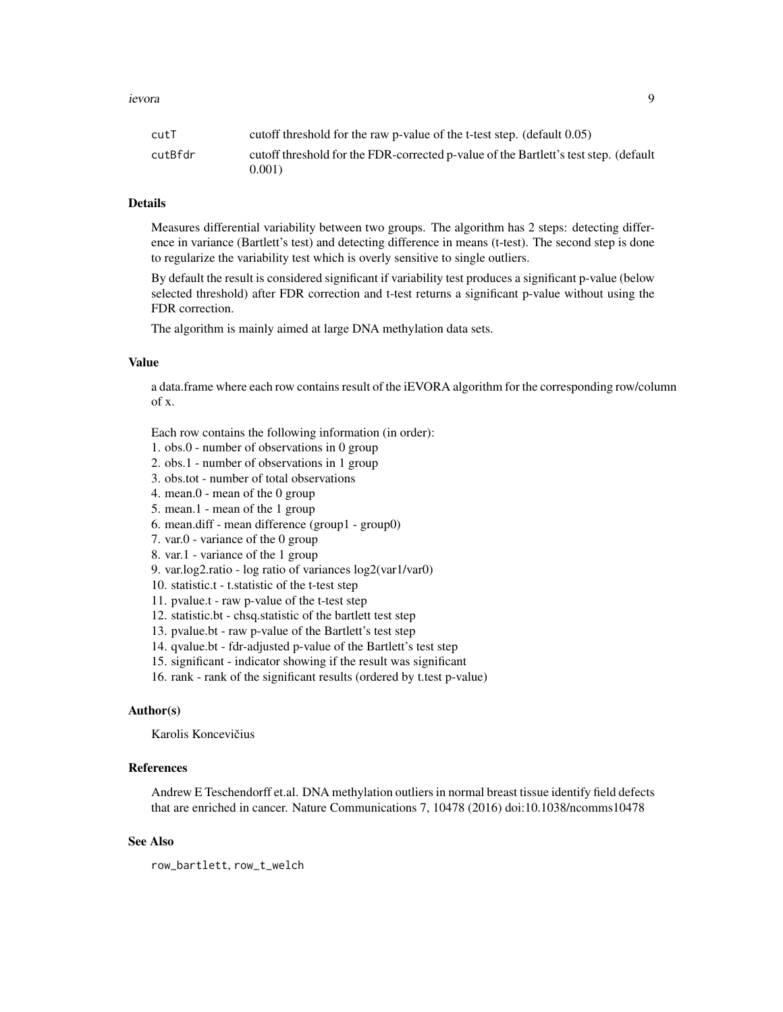| cutT    | cutoff threshold for the raw p-value of the t-test step. (default $0.05$ )                    |
|---------|-----------------------------------------------------------------------------------------------|
| cutBfdr | cutoff threshold for the FDR-corrected p-value of the Bartlett's test step. (default<br>0.001 |
|         |                                                                                               |

#### Details

Measures differential variability between two groups. The algorithm has 2 steps: detecting difference in variance (Bartlett's test) and detecting difference in means (t-test). The second step is done to regularize the variability test which is overly sensitive to single outliers.

By default the result is considered significant if variability test produces a significant p-value (below selected threshold) after FDR correction and t-test returns a significant p-value without using the FDR correction.

The algorithm is mainly aimed at large DNA methylation data sets.

# Value

a data.frame where each row contains result of the iEVORA algorithm for the corresponding row/column of x.

Each row contains the following information (in order):

1. obs.0 - number of observations in 0 group

2. obs.1 - number of observations in 1 group

3. obs.tot - number of total observations

4. mean.0 - mean of the 0 group

5. mean.1 - mean of the 1 group

6. mean.diff - mean difference (group1 - group0)

7. var.0 - variance of the 0 group

8. var.1 - variance of the 1 group

9. var.log2.ratio - log ratio of variances log2(var1/var0)

10. statistic.t - t.statistic of the t-test step

11. pvalue.t - raw p-value of the t-test step

12. statistic.bt - chsq.statistic of the bartlett test step

13. pvalue.bt - raw p-value of the Bartlett's test step

14. qvalue.bt - fdr-adjusted p-value of the Bartlett's test step

15. significant - indicator showing if the result was significant

16. rank - rank of the significant results (ordered by t.test p-value)

#### Author(s)

Karolis Koncevičius

#### References

Andrew E Teschendorff et.al. DNA methylation outliers in normal breast tissue identify field defects that are enriched in cancer. Nature Communications 7, 10478 (2016) doi:10.1038/ncomms10478

# See Also

row\_bartlett, row\_t\_welch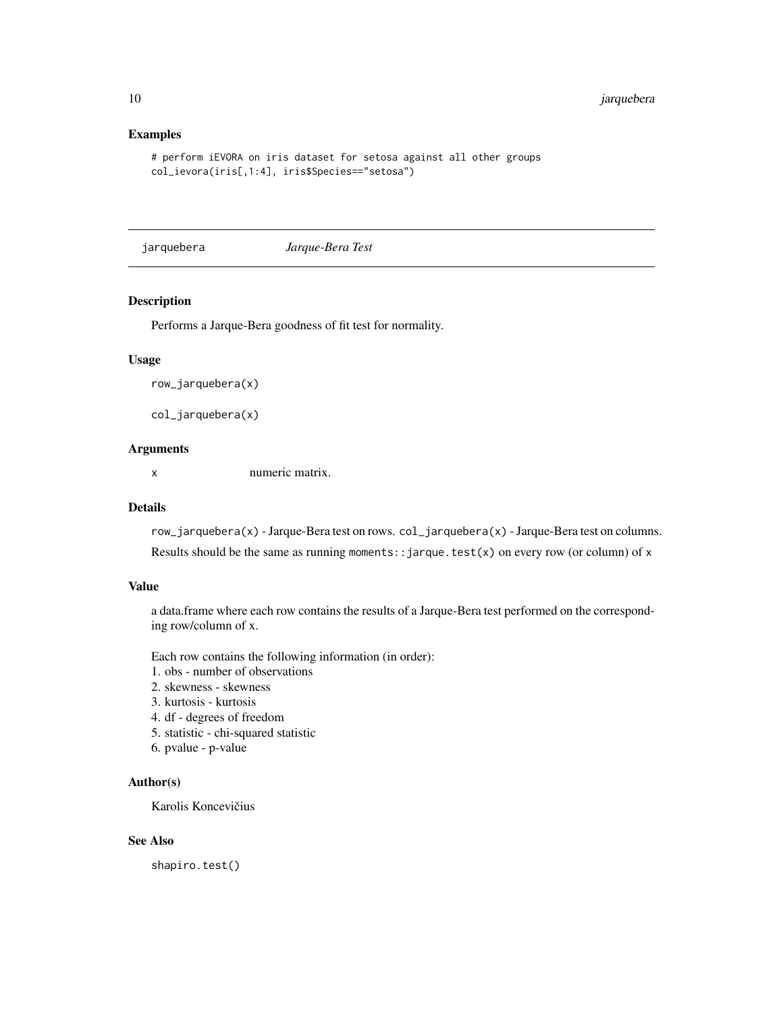# Examples

```
# perform iEVORA on iris dataset for setosa against all other groups
col_ievora(iris[,1:4], iris$Species=="setosa")
```
jarquebera *Jarque-Bera Test*

#### Description

Performs a Jarque-Bera goodness of fit test for normality.

#### Usage

row\_jarquebera(x)

col\_jarquebera(x)

# Arguments

x numeric matrix.

#### Details

row\_jarquebera(x) - Jarque-Bera test on rows. col\_jarquebera(x) - Jarque-Bera test on columns. Results should be the same as running moments: : jarque.test(x) on every row (or column) of x

### Value

a data.frame where each row contains the results of a Jarque-Bera test performed on the corresponding row/column of x.

Each row contains the following information (in order):

- 1. obs number of observations
- 2. skewness skewness
- 3. kurtosis kurtosis
- 4. df degrees of freedom
- 5. statistic chi-squared statistic
- 6. pvalue p-value

#### Author(s)

Karolis Koncevičius

# See Also

shapiro.test()

<span id="page-9-0"></span>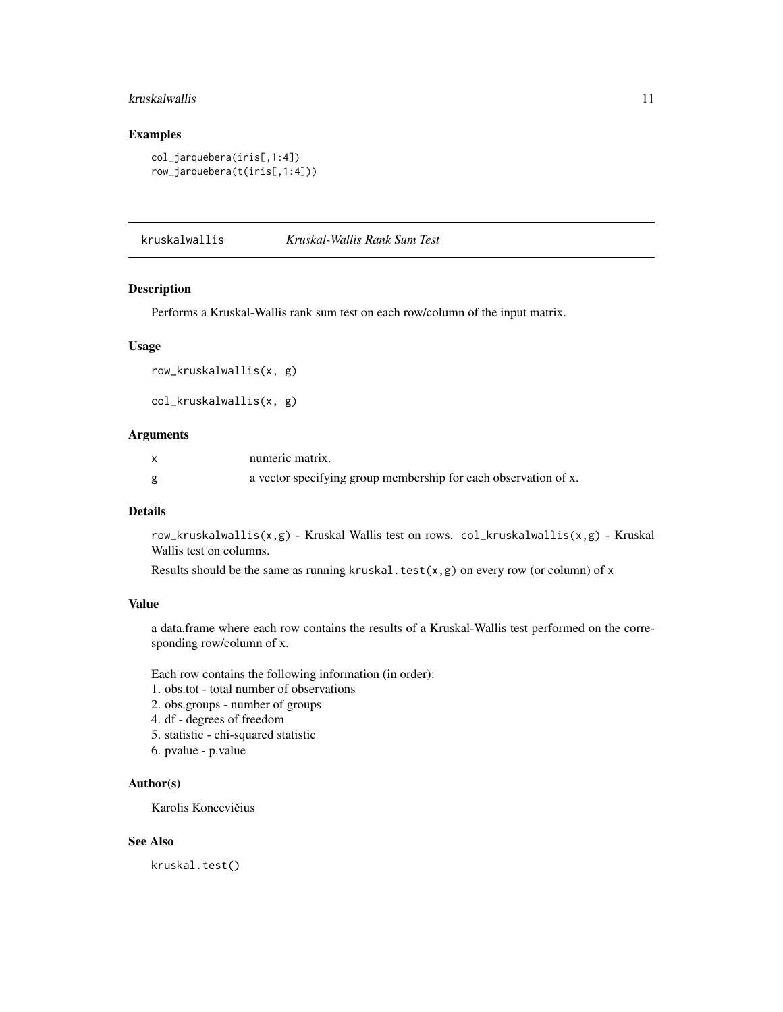#### <span id="page-10-0"></span>kruskalwallis 11

# Examples

```
col_jarquebera(iris[,1:4])
row_jarquebera(t(iris[,1:4]))
```
kruskalwallis *Kruskal-Wallis Rank Sum Test*

#### Description

Performs a Kruskal-Wallis rank sum test on each row/column of the input matrix.

#### Usage

```
row_kruskalwallis(x, g)
```

```
col_kruskalwallis(x, g)
```
#### Arguments

| numeric matrix.                                                 |
|-----------------------------------------------------------------|
| a vector specifying group membership for each observation of x. |

#### Details

row\_kruskalwallis(x,g) - Kruskal Wallis test on rows. col\_kruskalwallis(x,g) - Kruskal Wallis test on columns.

Results should be the same as running kruskal.test( $x, g$ ) on every row (or column) of x

# Value

a data.frame where each row contains the results of a Kruskal-Wallis test performed on the corresponding row/column of x.

Each row contains the following information (in order):

- 1. obs.tot total number of observations
- 2. obs.groups number of groups
- 4. df degrees of freedom
- 5. statistic chi-squared statistic
- 6. pvalue p.value

#### Author(s)

Karolis Koncevičius

# See Also

kruskal.test()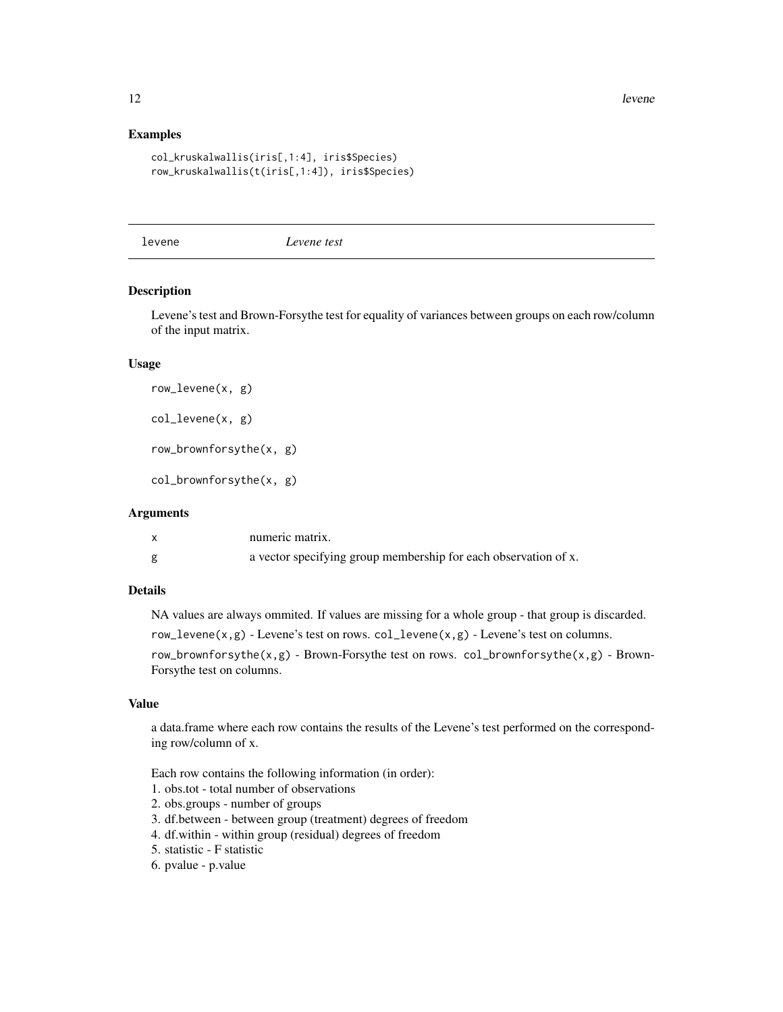#### Examples

```
col_kruskalwallis(iris[,1:4], iris$Species)
row_kruskalwallis(t(iris[,1:4]), iris$Species)
```
levene *Levene test*

# Description

Levene's test and Brown-Forsythe test for equality of variances between groups on each row/column of the input matrix.

#### Usage

row\_levene(x, g) col\_levene(x, g)

row\_brownforsythe(x, g)

col\_brownforsythe(x, g)

# Arguments

| numeric matrix.                                                 |
|-----------------------------------------------------------------|
| a vector specifying group membership for each observation of x. |

# Details

NA values are always ommited. If values are missing for a whole group - that group is discarded.

row\_levene(x,g) - Levene's test on rows. col\_levene(x,g) - Levene's test on columns.

row\_brownforsythe(x,g) - Brown-Forsythe test on rows. col\_brownforsythe(x,g) - Brown-Forsythe test on columns.

# Value

a data.frame where each row contains the results of the Levene's test performed on the corresponding row/column of x.

Each row contains the following information (in order):

- 1. obs.tot total number of observations
- 2. obs.groups number of groups

3. df.between - between group (treatment) degrees of freedom

- 4. df.within within group (residual) degrees of freedom
- 5. statistic F statistic
- 6. pvalue p.value

<span id="page-11-0"></span>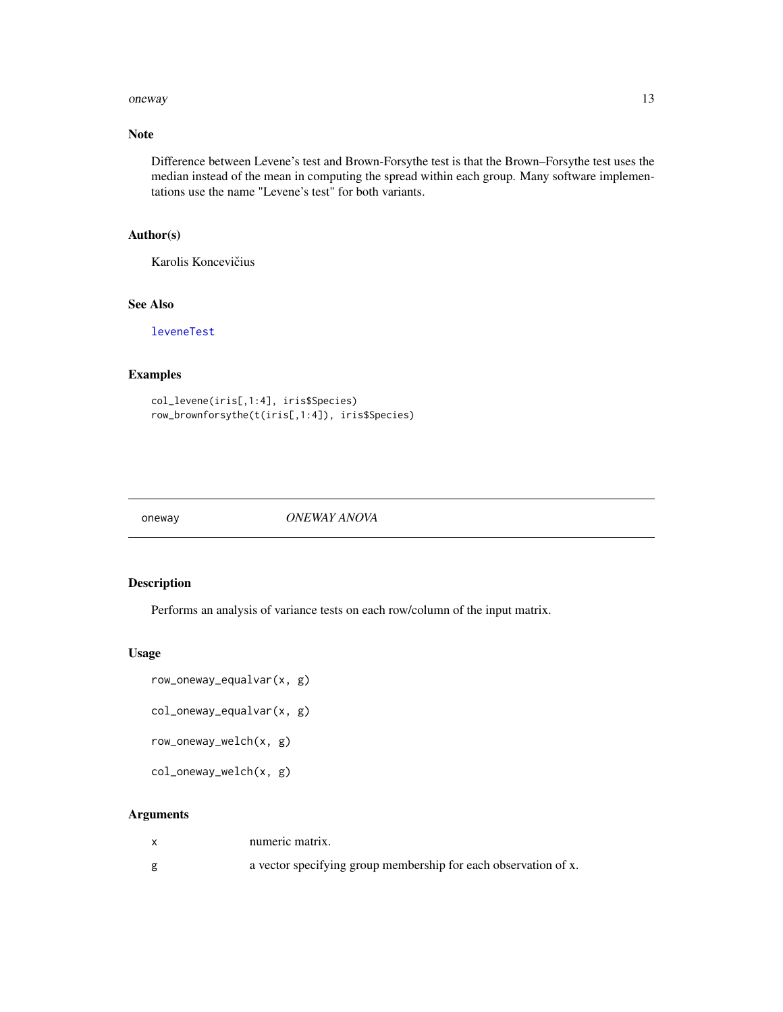#### <span id="page-12-0"></span>oneway and the contract of the contract of the contract of the contract of the contract of the contract of the contract of the contract of the contract of the contract of the contract of the contract of the contract of the

# Note

Difference between Levene's test and Brown-Forsythe test is that the Brown–Forsythe test uses the median instead of the mean in computing the spread within each group. Many software implementations use the name "Levene's test" for both variants.

# Author(s)

Karolis Koncevičius

# See Also

[leveneTest](#page-0-0)

# Examples

```
col_levene(iris[,1:4], iris$Species)
row_brownforsythe(t(iris[,1:4]), iris$Species)
```
oneway *ONEWAY ANOVA*

# Description

Performs an analysis of variance tests on each row/column of the input matrix.

#### Usage

- row\_oneway\_equalvar(x, g)
- col\_oneway\_equalvar(x, g)

row\_oneway\_welch(x, g)

col\_oneway\_welch(x, g)

# Arguments

| numeric matrix.                                                 |
|-----------------------------------------------------------------|
| a vector specifying group membership for each observation of x. |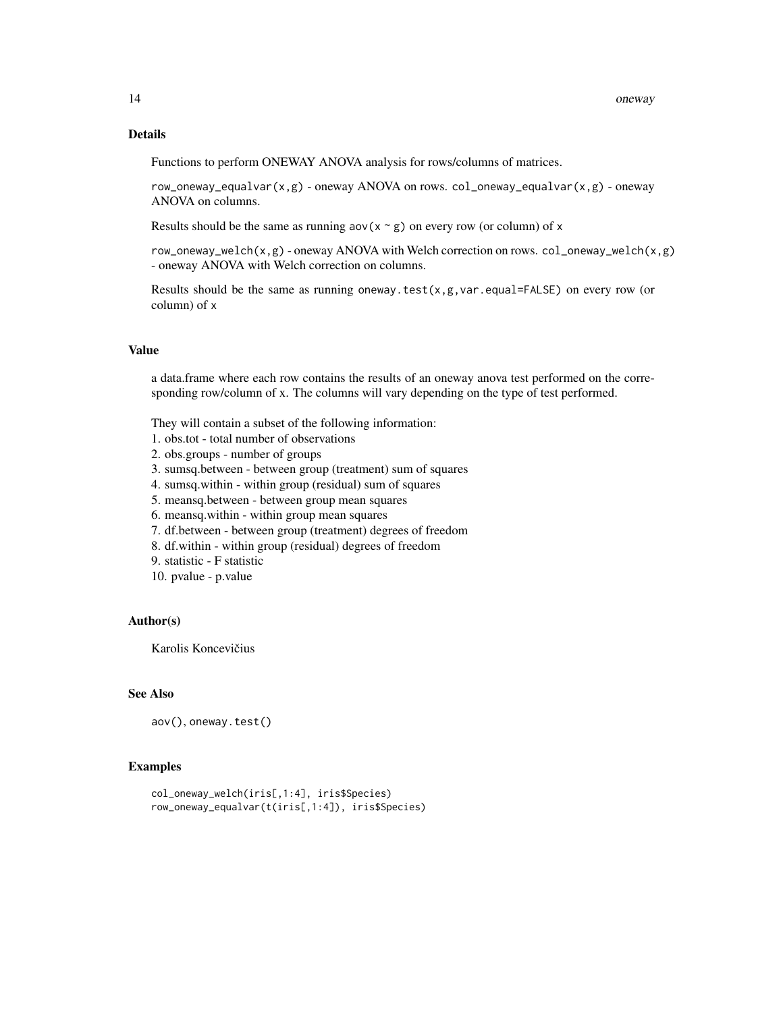#### Details

Functions to perform ONEWAY ANOVA analysis for rows/columns of matrices.

row\_oneway\_equalvar(x,g) - oneway ANOVA on rows. col\_oneway\_equalvar(x,g) - oneway ANOVA on columns.

Results should be the same as running  $aov(x \sim g)$  on every row (or column) of x

row\_oneway\_welch(x,g) - oneway ANOVA with Welch correction on rows. col\_oneway\_welch(x,g) - oneway ANOVA with Welch correction on columns.

Results should be the same as running oneway.test $(x, g, var.equals=False)$  on every row (or column) of x

# Value

a data.frame where each row contains the results of an oneway anova test performed on the corresponding row/column of x. The columns will vary depending on the type of test performed.

They will contain a subset of the following information:

- 1. obs.tot total number of observations
- 2. obs.groups number of groups
- 3. sumsq.between between group (treatment) sum of squares
- 4. sumsq.within within group (residual) sum of squares
- 5. meansq.between between group mean squares
- 6. meansq.within within group mean squares
- 7. df.between between group (treatment) degrees of freedom
- 8. df.within within group (residual) degrees of freedom
- 9. statistic F statistic
- 10. pvalue p.value

#### Author(s)

Karolis Koncevičius

#### See Also

aov(), oneway.test()

# Examples

```
col_oneway_welch(iris[,1:4], iris$Species)
row_oneway_equalvar(t(iris[,1:4]), iris$Species)
```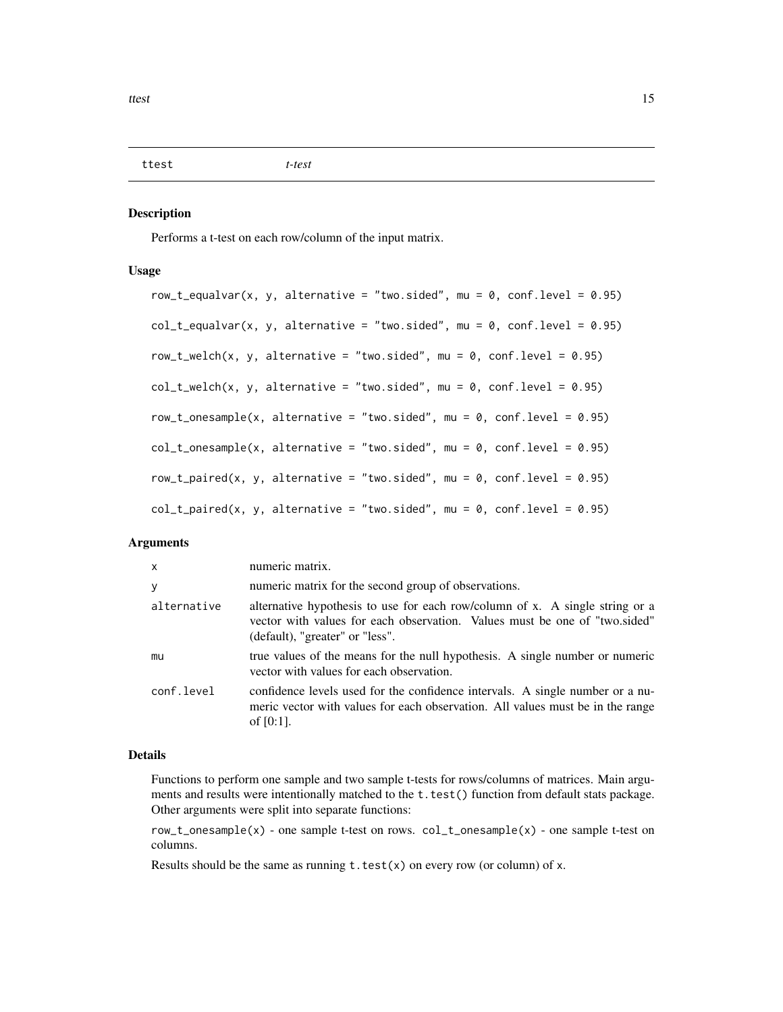<span id="page-14-0"></span>ttest *t-test*

#### Description

Performs a t-test on each row/column of the input matrix.

#### Usage

```
row_t_equalvar(x, y, alternative = "two.sided", mu = 0, conf.level = 0.95)
col_t-equalvar(x, y, alternative = "two.sided", mu = 0, conf.level = 0.95)
row_t_welch(x, y, alternative = "two.sided", mu = \theta, conf.level = \theta.95)
col_t_wellch(x, y, alternative = "two.sided", mu = 0, conf. level = 0.95)row\_t\_onesample(x, alternative = "two.sided", mu = 0, conf.level = 0.95)col_t_\text{consample}(x, alternative = "two-sided", mu = 0, conf.level = 0.95)row\_t\_paired(x, y, alternative = "two.sided", mu = 0, conf. level = 0.95)col_t-paired(x, y, alternative = "two.sided", mu = 0, conf.level = 0.95)
```
#### **Arguments**

| $\mathsf{x}$ | numeric matrix.                                                                                                                                                                               |
|--------------|-----------------------------------------------------------------------------------------------------------------------------------------------------------------------------------------------|
| y            | numeric matrix for the second group of observations.                                                                                                                                          |
| alternative  | alternative hypothesis to use for each row/column of x. A single string or a<br>vector with values for each observation. Values must be one of "two.sided"<br>(default), "greater" or "less". |
| mu           | true values of the means for the null hypothesis. A single number or numeric<br>vector with values for each observation.                                                                      |
| conf.level   | confidence levels used for the confidence intervals. A single number or a nu-<br>meric vector with values for each observation. All values must be in the range<br>of $[0:1]$ .               |

#### Details

Functions to perform one sample and two sample t-tests for rows/columns of matrices. Main arguments and results were intentionally matched to the t.test() function from default stats package. Other arguments were split into separate functions:

row\_t\_onesample(x) - one sample t-test on rows. col\_t\_onesample(x) - one sample t-test on columns.

Results should be the same as running  $t.test(x)$  on every row (or column) of x.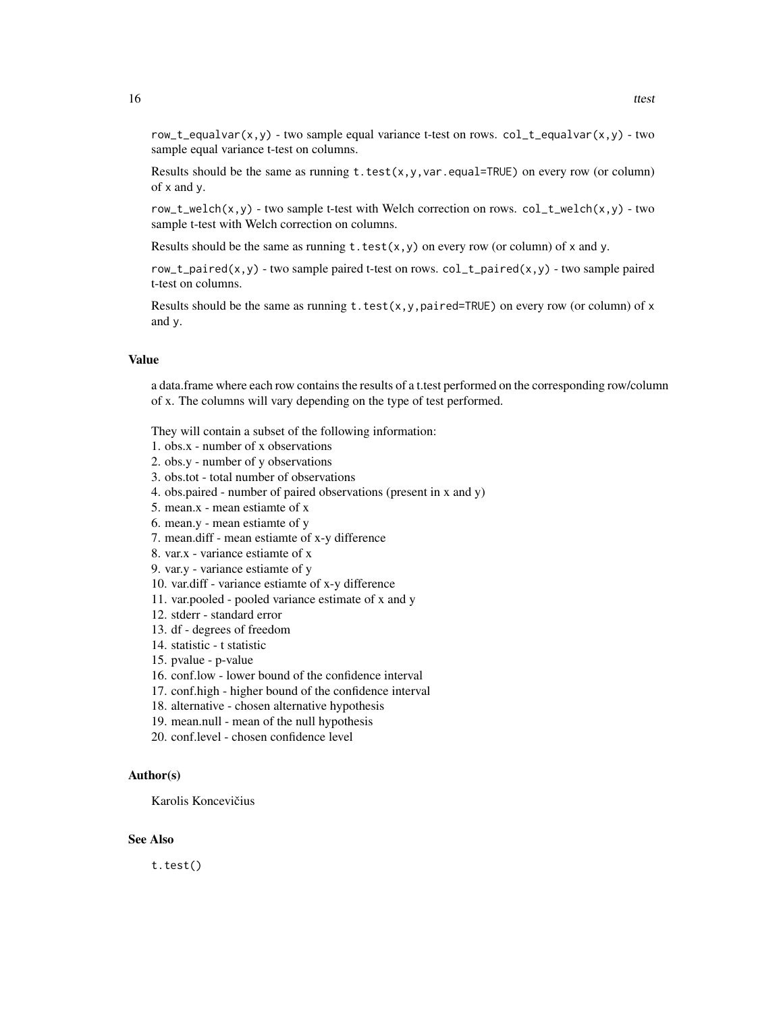row\_t\_equalvar(x,y) - two sample equal variance t-test on rows.  $col_t$ -equalvar(x,y) - two sample equal variance t-test on columns.

Results should be the same as running  $t.test(x,y,var.equals=TRUE)$  on every row (or column) of x and y.

row\_t\_welch(x,y) - two sample t-test with Welch correction on rows.  $col_t$ \_welch(x,y) - two sample t-test with Welch correction on columns.

Results should be the same as running  $t.test(x,y)$  on every row (or column) of x and y.

row\_t\_paired(x,y) - two sample paired t-test on rows.  $col_t$ \_paired(x,y) - two sample paired t-test on columns.

Results should be the same as running t.test(x,y,paired=TRUE) on every row (or column) of x and y.

#### Value

a data.frame where each row contains the results of a t.test performed on the corresponding row/column of x. The columns will vary depending on the type of test performed.

They will contain a subset of the following information:

- 1. obs.x number of x observations
- 2. obs.y number of y observations
- 3. obs.tot total number of observations
- 4. obs.paired number of paired observations (present in x and y)
- 5. mean.x mean estiamte of x
- 6. mean.y mean estiamte of y
- 7. mean.diff mean estiamte of x-y difference
- 8. var.x variance estiamte of x
- 9. var.y variance estiamte of y
- 10. var.diff variance estiamte of x-y difference
- 11. var.pooled pooled variance estimate of x and y
- 12. stderr standard error
- 13. df degrees of freedom
- 14. statistic t statistic
- 15. pvalue p-value
- 16. conf.low lower bound of the confidence interval
- 17. conf.high higher bound of the confidence interval
- 18. alternative chosen alternative hypothesis
- 19. mean.null mean of the null hypothesis
- 20. conf.level chosen confidence level

#### Author(s)

Karolis Koncevičius

#### See Also

t.test()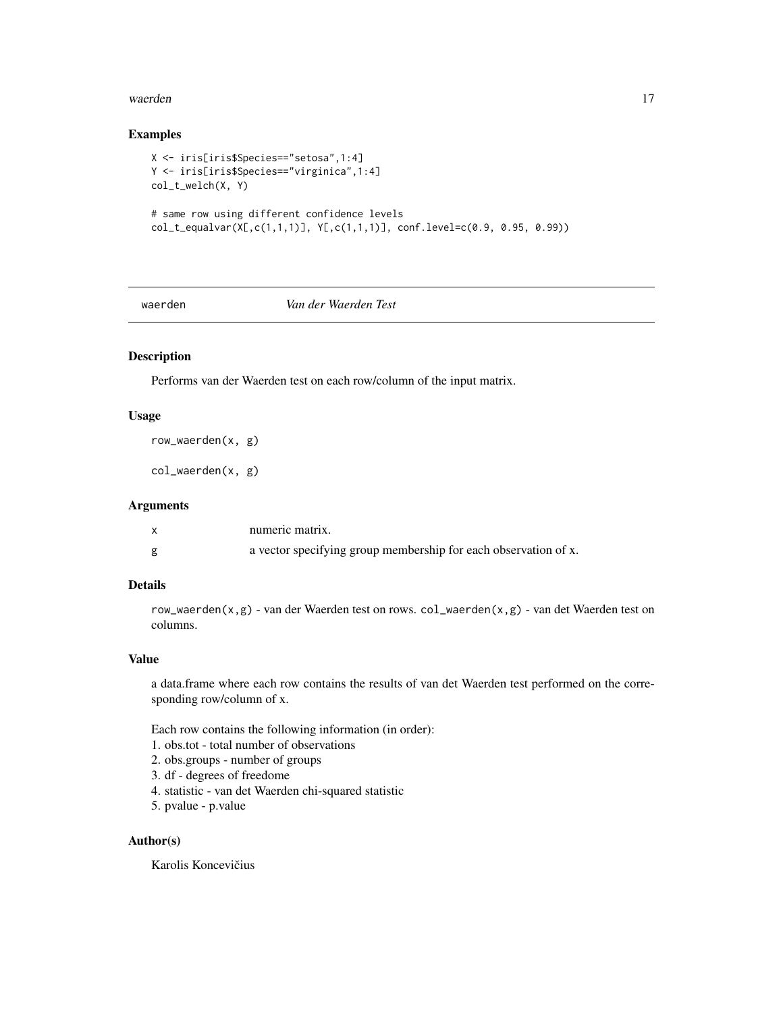#### <span id="page-16-0"></span>waerden 17

# Examples

```
X <- iris[iris$Species=="setosa",1:4]
Y <- iris[iris$Species=="virginica",1:4]
col_t_welch(X, Y)
# same row using different confidence levels
col_t_equalvar(X[,c(1,1,1)], Y[,c(1,1,1)], conf.level=c(0.9, 0.95, 0.99))
```
#### waerden *Van der Waerden Test*

# Description

Performs van der Waerden test on each row/column of the input matrix.

# Usage

row\_waerden(x, g)

col\_waerden(x, g)

# Arguments

| numeric matrix.                                                 |
|-----------------------------------------------------------------|
| a vector specifying group membership for each observation of x. |

# Details

row\_waerden(x,g) - van der Waerden test on rows. col\_waerden(x,g) - van det Waerden test on columns.

#### Value

a data.frame where each row contains the results of van det Waerden test performed on the corresponding row/column of x.

Each row contains the following information (in order):

- 1. obs.tot total number of observations
- 2. obs.groups number of groups
- 3. df degrees of freedome
- 4. statistic van det Waerden chi-squared statistic
- 5. pvalue p.value

#### Author(s)

Karolis Koncevičius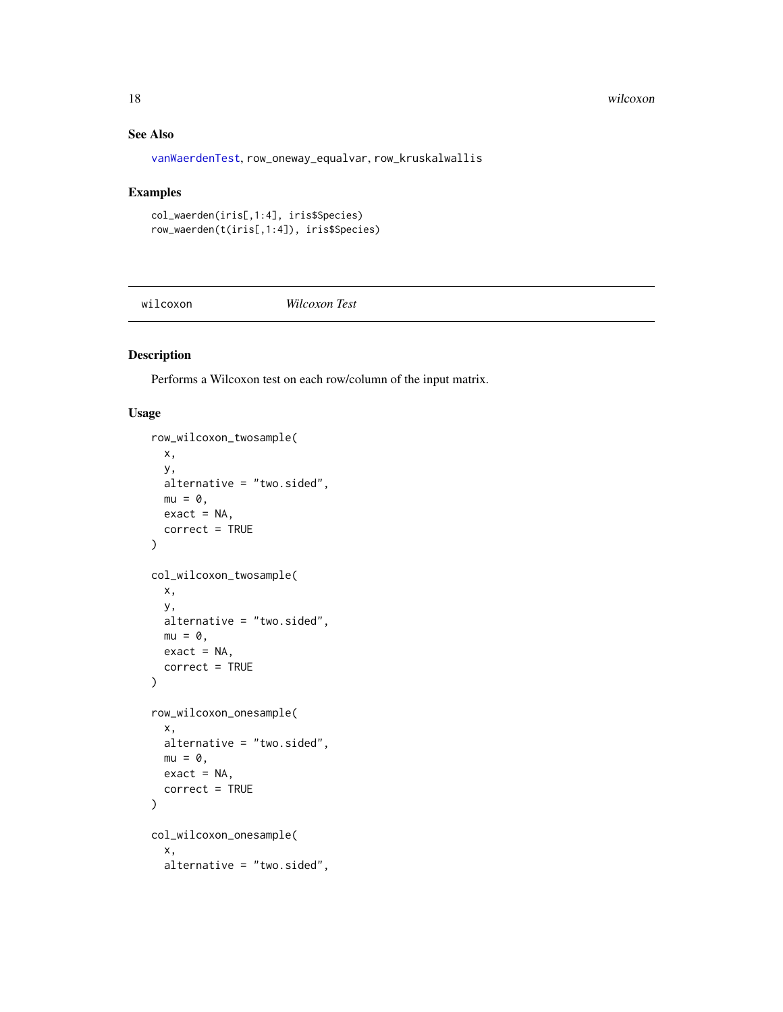# See Also

[vanWaerdenTest](#page-0-0), row\_oneway\_equalvar, row\_kruskalwallis

#### Examples

```
col_waerden(iris[,1:4], iris$Species)
row_waerden(t(iris[,1:4]), iris$Species)
```
wilcoxon *Wilcoxon Test*

# Description

Performs a Wilcoxon test on each row/column of the input matrix.

#### Usage

```
row_wilcoxon_twosample(
 x,
 y,
 alternative = "two.sided",
 mu = 0,
 exact = NA,
 correct = TRUE
\mathcal{L}col_wilcoxon_twosample(
 x,
 y,
 alternative = "two.sided",
 mu = 0,
 exact = NA,
  correct = TRUE
)
row_wilcoxon_onesample(
  x,
 alternative = "two.sided",
 mu = 0,
 exact = NA,
  correct = TRUE
)
col_wilcoxon_onesample(
  x,
  alternative = "two.sided",
```
<span id="page-17-0"></span>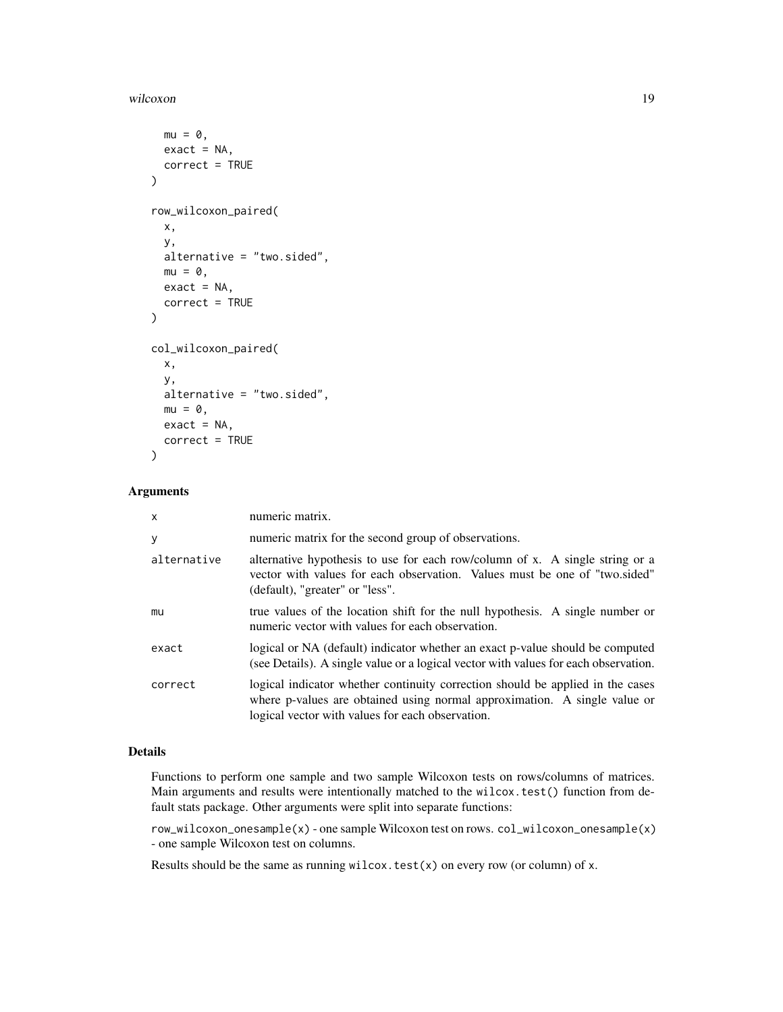#### wilcoxon and the state of the state of the state of the state of the state of the state of the state of the state of the state of the state of the state of the state of the state of the state of the state of the state of t

```
mu = 0,
 exact = NA,
 correct = TRUE
\lambdarow_wilcoxon_paired(
  x,
 y,
  alternative = "two.sided",
 mu = 0,
 exact = NA,
  correct = TRUE
)
col_wilcoxon_paired(
  x,
 y,
  alternative = "two.sided",
 mu = 0,
 exact = NA,
 correct = TRUE
)
```
# Arguments

| x           | numeric matrix.                                                                                                                                                                                                 |
|-------------|-----------------------------------------------------------------------------------------------------------------------------------------------------------------------------------------------------------------|
| у           | numeric matrix for the second group of observations.                                                                                                                                                            |
| alternative | alternative hypothesis to use for each row/column of x. A single string or a<br>vector with values for each observation. Values must be one of "two.sided"<br>(default), "greater" or "less".                   |
| mu          | true values of the location shift for the null hypothesis. A single number or<br>numeric vector with values for each observation.                                                                               |
| exact       | logical or NA (default) indicator whether an exact p-value should be computed<br>(see Details). A single value or a logical vector with values for each observation.                                            |
| correct     | logical indicator whether continuity correction should be applied in the cases<br>where p-values are obtained using normal approximation. A single value or<br>logical vector with values for each observation. |

# Details

Functions to perform one sample and two sample Wilcoxon tests on rows/columns of matrices. Main arguments and results were intentionally matched to the wilcox.test() function from default stats package. Other arguments were split into separate functions:

row\_wilcoxon\_onesample(x) - one sample Wilcoxon test on rows. col\_wilcoxon\_onesample(x) - one sample Wilcoxon test on columns.

Results should be the same as running wilcox.test $(x)$  on every row (or column) of x.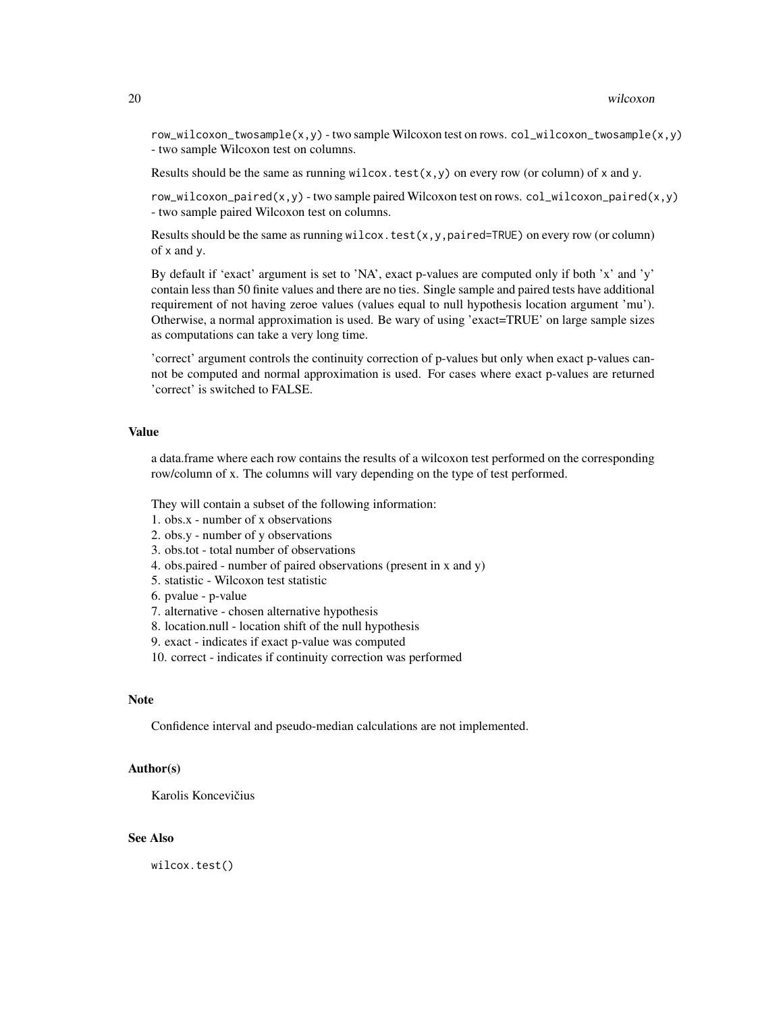$row\_wilcoxon\_twosample(x, y)$  - two sample Wilcoxon test on rows.  $col\_wilcoxon\_twosample(x, y)$ - two sample Wilcoxon test on columns.

Results should be the same as running wilcox.test $(x, y)$  on every row (or column) of x and y.

 $row\_wilcoxon\_paired(x, y)$  - two sample paired Wilcoxon test on rows.  $col\_wilcoxon\_paired(x, y)$ - two sample paired Wilcoxon test on columns.

Results should be the same as running wilcox.test $(x, y, p \text{aired} = \text{TRUE})$  on every row (or column) of x and y.

By default if 'exact' argument is set to 'NA', exact p-values are computed only if both 'x' and 'y' contain less than 50 finite values and there are no ties. Single sample and paired tests have additional requirement of not having zeroe values (values equal to null hypothesis location argument 'mu'). Otherwise, a normal approximation is used. Be wary of using 'exact=TRUE' on large sample sizes as computations can take a very long time.

'correct' argument controls the continuity correction of p-values but only when exact p-values cannot be computed and normal approximation is used. For cases where exact p-values are returned 'correct' is switched to FALSE.

#### Value

a data.frame where each row contains the results of a wilcoxon test performed on the corresponding row/column of x. The columns will vary depending on the type of test performed.

They will contain a subset of the following information:

1. obs.x - number of x observations

2. obs.y - number of y observations

3. obs.tot - total number of observations

4. obs.paired - number of paired observations (present in x and y)

5. statistic - Wilcoxon test statistic

6. pvalue - p-value

7. alternative - chosen alternative hypothesis

8. location.null - location shift of the null hypothesis

9. exact - indicates if exact p-value was computed

10. correct - indicates if continuity correction was performed

#### **Note**

Confidence interval and pseudo-median calculations are not implemented.

#### Author(s)

Karolis Koncevičius

# See Also

wilcox.test()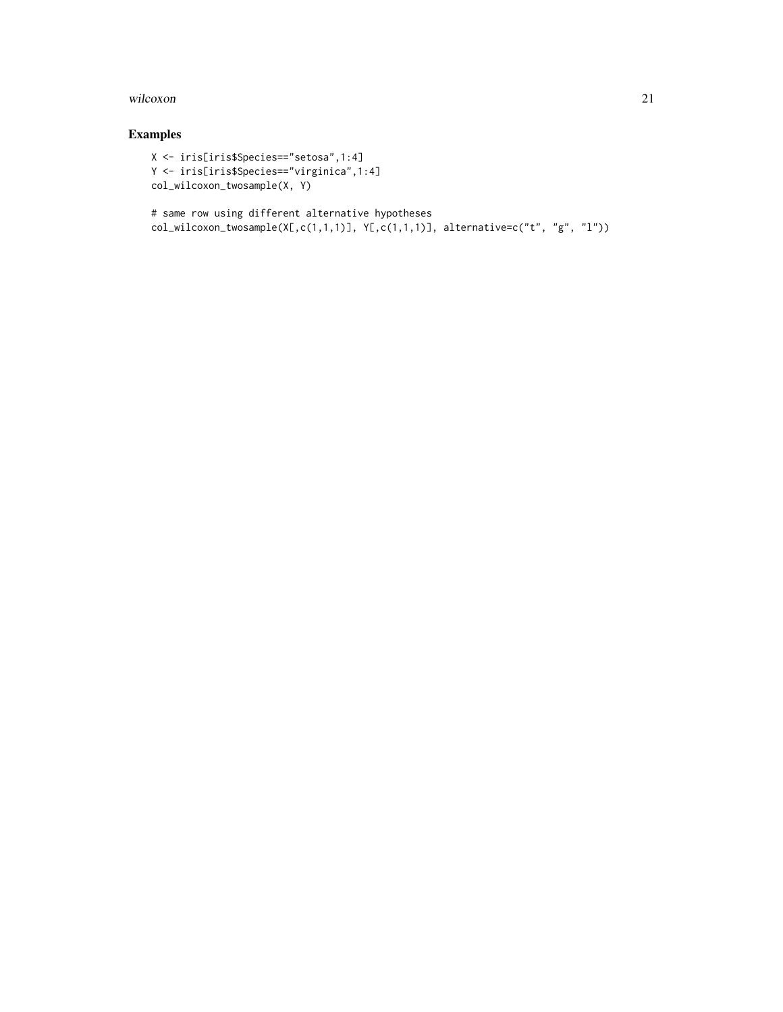#### wilcoxon 21

# Examples

```
X <- iris[iris$Species=="setosa",1:4]
Y <- iris[iris$Species=="virginica",1:4]
col_wilcoxon_twosample(X, Y)
```

```
# same row using different alternative hypotheses
col\_wilcoxon\_twosample(X[,c(1,1,1)], Y[,c(1,1,1)], alternative=c("t", "g", "l"))
```